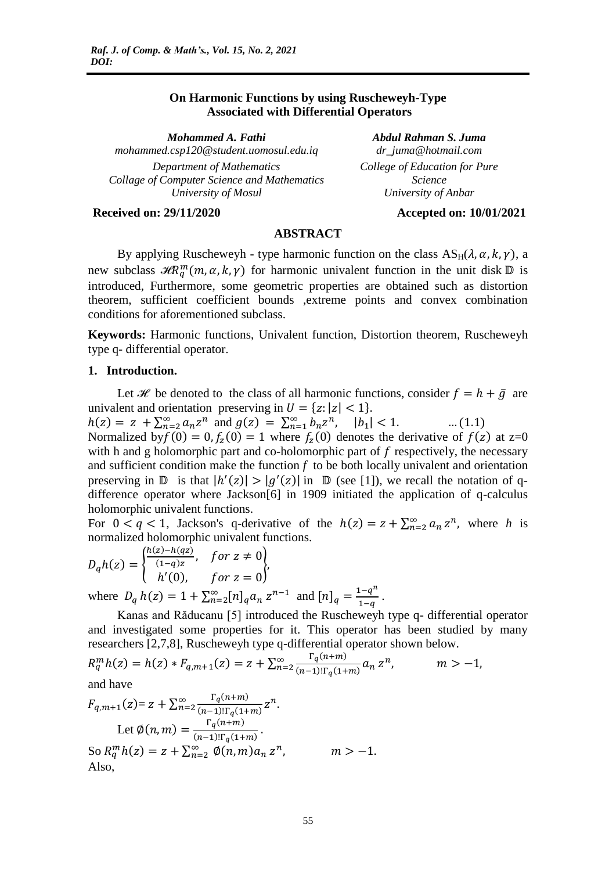# **On Harmonic Functions by using Ruscheweyh-Type Associated with Differential Operators**

*Mohammed A. Fathi Abdul Rahman S. Juma mohammed.csp120@student.uomosul.edu.iq dr\_juma@hotmail.com Department of Mathematics Collage of Computer Science and Mathematics University of Mosul*

*College of Education for Pure Science University of Anbar*

## **Received on: 29/11/2020 Accepted on: 10/01/2021**

## **ABSTRACT**

By applying Ruscheweyh - type harmonic function on the class  $AS_H(\lambda, \alpha, k, \gamma)$ , a new subclass  $\mathcal{H}R_{q}^{m}(m,\alpha,k,\gamma)$  for harmonic univalent function in the unit disk  $\mathbb{D}$  is introduced, Furthermore, some geometric properties are obtained such as distortion theorem, sufficient coefficient bounds ,extreme points and convex combination conditions for aforementioned subclass.

**Keywords:** Harmonic functions, Univalent function, Distortion theorem, Ruscheweyh type q- differential operator.

#### **1. Introduction.**

Let *H* be denoted to the class of all harmonic functions, consider  $f = h + \bar{g}$  are univalent and orientation preserving in  $U = \{z: |z| < 1\}.$ 

 $h(z) = z + \sum_{n=2}^{\infty} a_n z^n$  and  $g(z) = \sum_{n=1}^{\infty} b_n z^n$ ,  $|b_1|$  $\dots(1.1)$ Normalized by  $f(0) = 0, f_z(0) = 1$  where  $f_z(0)$  denotes the derivative of  $f(z)$  at  $z=0$ with h and g holomorphic part and co-holomorphic part of  $f$  respectively, the necessary and sufficient condition make the function *f* to be both locally univalent and orientation preserving in  $\mathbb D$  is that  $|h'(z)| > |g'(z)|$  in  $\mathbb D$  (see [1]), we recall the notation of qdifference operator where Jackson[6] in 1909 initiated the application of q-calculus holomorphic univalent functions.

For  $0 < q < 1$ , Jackson's q-derivative of the  $h(z) = z + \sum_{n=2}^{\infty} a_n z^n$ , where h is normalized holomorphic univalent functions.

$$
D_q h(z) = \begin{cases} \frac{h(z) - h(qz)}{(1-q)z}, & \text{for } z \neq 0\\ h'(0), & \text{for } z = 0 \end{cases},
$$
  
where  $D_q h(z) = 1 + \sum_{n=2}^{\infty} [n]_q a_n z^{n-1}$  and  $[n]_q = \frac{1-q^n}{1-q}$ .

Kanas and Răducanu [5] introduced the Ruscheweyh type q- differential operator and investigated some properties for it. This operator has been studied by many researchers [2,7,8], Ruscheweyh type q-differential operator shown below.

$$
R_q^m h(z) = h(z) * F_{q,m+1}(z) = z + \sum_{n=2}^{\infty} \frac{\Gamma_q(n+m)}{(n-1)!\Gamma_q(1+m)} a_n z^n, \qquad m > -1,
$$

and have

$$
F_{q,m+1}(z) = z + \sum_{n=2}^{\infty} \frac{\Gamma_q(n+m)}{(n-1)!\Gamma_q(1+m)} z^n.
$$
  
Let  $\emptyset(n,m) = \frac{\Gamma_q(n+m)}{(n-1)!\Gamma_q(1+m)}.$   
So  $R_q^m h(z) = z + \sum_{n=2}^{\infty} \emptyset(n,m) a_n z^n$ ,  $m > -1.$   
Also,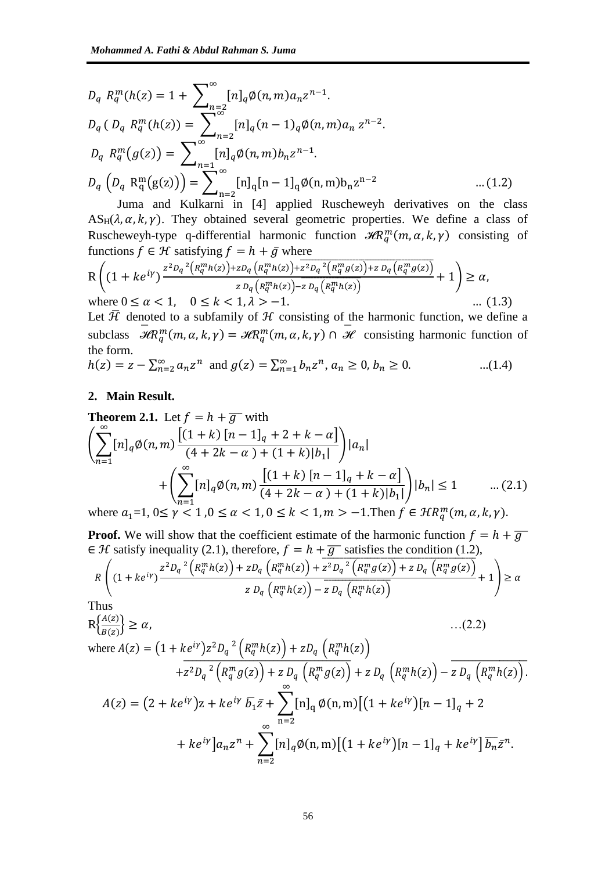$$
D_q R_q^m(h(z) = 1 + \sum_{n=2}^{\infty} [n]_q \phi(n, m) a_n z^{n-1}.
$$
  
\n
$$
D_q (D_q R_q^m(h(z)) = \sum_{n=2}^{\infty} [n]_q (n-1)_q \phi(n, m) a_n z^{n-2}.
$$
  
\n
$$
D_q R_q^m(g(z)) = \sum_{n=1}^{\infty} [n]_q \phi(n, m) b_n z^{n-1}.
$$
  
\n
$$
D_q (D_q R_q^m(g(z))) = \sum_{n=2}^{\infty} [n]_q [n-1]_q \phi(n, m) b_n z^{n-2} ... (1.2)
$$

Juma and Kulkarni in [4] applied Ruscheweyh derivatives on the class  $AS_H(\lambda, \alpha, k, \gamma)$ . They obtained several geometric properties. We define a class of Ruscheweyh-type q-differential harmonic function  $\mathcal{H}R_q^m(m,\alpha,k,\gamma)$  consisting of functions  $f \in \mathcal{H}$  satisfying  $f = h + \bar{g}$  where

$$
R\left((1+ke^{i\gamma})\frac{z^{2}D_{q}^{2}(R_{q}^{m}h(z))+zD_{q}(R_{q}^{m}h(z))+z^{2}D_{q}^{2}(R_{q}^{m}g(z))+zD_{q}(R_{q}^{m}g(z))}{zD_{q}(R_{q}^{m}h(z))-zD_{q}(R_{q}^{m}h(z))}+1\right)\geq\alpha,
$$
  
where  $0\leq\alpha<1$ ,  $0\leq k<1, \lambda>-1$ . (1.3)

Let  $\bar{\mathcal{H}}$  denoted to a subfamily of  $\mathcal{H}$  consisting of the harmonic function, we define a subclass  $\overline{\mathcal{H}}R_q^m(m,\alpha,k,\gamma) = \overline{\mathcal{H}}R_q^m(m,\alpha,k,\gamma) \cap \overline{\mathcal{H}}$  consisting harmonic function of the form.

 $h(z) = z - \sum_{n=2}^{\infty} a_n z^n$  and  $g(z) = \sum_{n=1}^{\infty} b_n z^n$ ,  $a_n \ge 0$ ,  $b_n \ge 0$ . ...(1.4)

## **2. Main Result.**

**Theorem 2.1.** Let 
$$
f = h + \overline{g}
$$
 with  
\n
$$
\left(\sum_{n=1}^{\infty} [n]_q \emptyset(n, m) \frac{[(1+k) [n-1]_q + 2 + k - \alpha]}{(4 + 2k - \alpha) + (1 + k)|b_1|}\right) |a_n| + \left(\sum_{n=1}^{\infty} [n]_q \emptyset(n, m) \frac{[(1+k) [n-1]_q + k - \alpha]}{(4 + 2k - \alpha) + (1 + k)|b_1|}\right) |b_n| \le 1 \qquad \dots (2.1)
$$
\nwhere  $a_1 = 1, 0 \le \gamma < 1, 0 \le \alpha < 1, 0 \le k < 1, m > -1$ . Then  $f \in \mathcal{H}R_q^m(m, \alpha, k, \gamma)$ .

**Proof.** We will show that the coefficient estimate of the harmonic function  $f = h + \overline{g}$  $\in \mathcal{H}$  satisfy inequality (2.1), therefore,  $f = h + \overline{g}$  satisfies the condition (1.2),

$$
R\left((1+ke^{iy})\frac{z^2D_q^{2}\left(R_q^mh(z)\right)+zD_q\left(R_q^mh(z)\right)+\overline{z^2D_q^{2}\left(R_q^mg(z)\right)+zD_q\left(R_q^mg(z)\right)}}{zD_q\left(R_q^mh(z)\right)-\overline{zD_q\left(R_q^mh(z)\right)}}+1\right)\geq\alpha
$$

Thus

$$
R\left\{\frac{A(z)}{B(z)}\right\} \ge \alpha, \qquad \qquad ...(2.2)
$$
\nwhere  $A(z) = \left(1 + ke^{i\gamma}\right)z^2D_q^{-2}\left(R_q^m h(z)\right) + zD_q\left(R_q^m h(z)\right)$   
\n
$$
+z^2D_q^{-2}\left(R_q^mg(z)\right) + zD_q\left(R_q^mg(z)\right) + zD_q\left(R_q^mh(z)\right) - zD_q\left(R_q^mh(z)\right).
$$
\n
$$
A(z) = \left(2 + ke^{i\gamma}\right)z + ke^{i\gamma}\overline{b_1}\overline{z} + \sum_{n=2}^{\infty} [n]_q \phi(n, m) \left[\left(1 + ke^{i\gamma}\right)[n - 1]_q + 2 + ke^{i\gamma}\right]a_n z^n + \sum_{n=2}^{\infty} [n]_q \phi(n, m) \left[\left(1 + ke^{i\gamma}\right)[n - 1]_q + ke^{i\gamma}\right] \overline{b_n}\overline{z}^n.
$$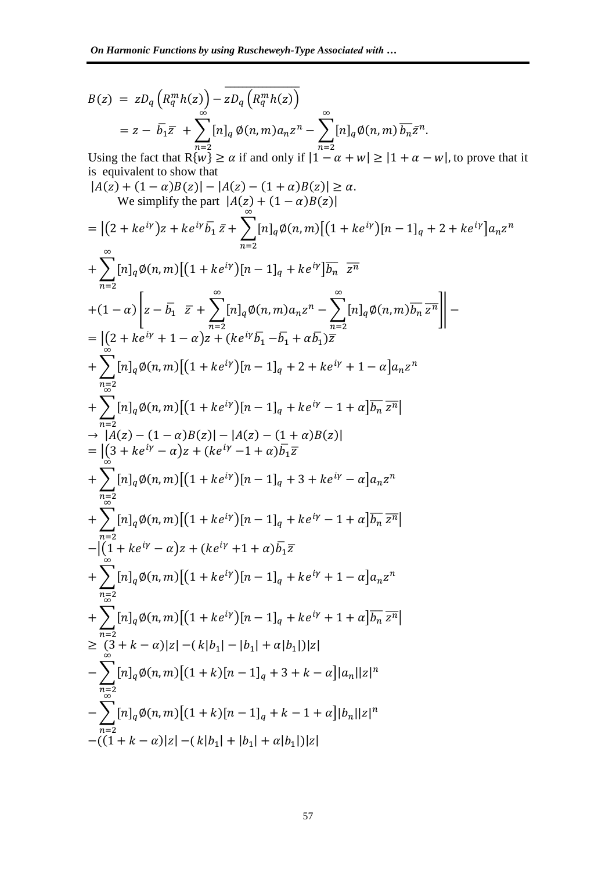$$
B(z) = zD_q \left( R_q^m h(z) \right) - \overline{zD_q \left( R_q^m h(z) \right)}
$$
  
=  $z - \overline{b_1} \overline{z} + \sum_{n=2}^{\infty} [n]_q \phi(n, m) a_n z^n - \sum_{n=2}^{\infty} [n]_q \phi(n, m) \overline{b_n} \overline{z}^n.$ 

Using the fact that R $\{w\} \ge \alpha$  if and only if  $|1 - \alpha + w| \ge |1 + \alpha - w|$ , to prove that it is equivalent to show that

$$
|A(z) + (1 - \alpha)B(z)| - |A(z) - (1 + \alpha)B(z)| \ge \alpha.
$$
  
\nWe simplify the part  $|A(z) + (1 - \alpha)B(z)|$   
\n
$$
= |(2 + ke^{iy})z + ke^{iy}\overline{b_1}\,\overline{z} + \sum_{n=2}^{\infty} [n]_q \phi(n, m) [(1 + ke^{iy})[n - 1]_q + 2 + ke^{iy}]a_n z^n
$$
  
\n
$$
+ \sum_{n=2}^{\infty} [n]_q \phi(n, m) [(1 + ke^{iy})[n - 1]_q + ke^{iy}] \overline{b_n} \overline{z^n}
$$
  
\n
$$
+ (1 - \alpha) \left[ z - \overline{b_1} \overline{z} + \sum_{n=2}^{\infty} [n]_q \phi(n, m) a_n z^n - \sum_{n=2}^{\infty} [n]_q \phi(n, m) \overline{b_n} \overline{z^n} \right] \right] -
$$
  
\n
$$
= |(2 + ke^{iy} + 1 - \alpha)z + (ke^{iy} \overline{b_1} - \overline{b_1} + \alpha \overline{b_1}) \overline{z}
$$
  
\n
$$
+ \sum_{n=2}^{\infty} [n]_q \phi(n, m) [(1 + ke^{iy})[n - 1]_q + 2 + ke^{iy} + 1 - \alpha]a_n z^n
$$
  
\n
$$
+ \sum_{n=2}^{\infty} [n]_q \phi(n, m) [(1 + ke^{iy})[n - 1]_q + ke^{iy} - 1 + \alpha] \overline{b_n} \overline{z^n}]
$$
  
\n
$$
+ \sum_{n=2}^{\infty} [n]_q \phi(n, m) [(1 + ke^{iy})[n - 1]_q + 3 + ke^{iy} - \alpha]a_n z^n
$$
  
\n
$$
+ \sum_{n=2}^{\infty} [n]_q \phi(n, m) [(1 + ke^{iy})[n - 1]_q + 3 + ke^{iy} - \alpha]a_n z^n
$$
  
\n
$$
+ \sum_{n=2}^{\infty} [n]_q \phi(n, m) [(1 + ke^{iy})[n - 1]_q + ke^{iy} - 1 + \alpha] \overline{b_n} \overline{z^n}]
$$
<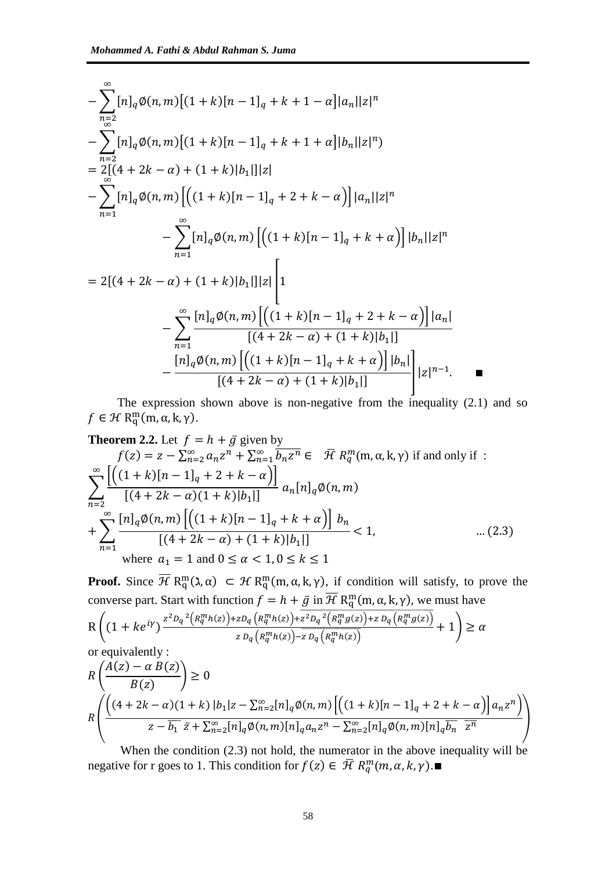$$
-\sum_{\substack{n=2 \ n\geq 2}}^{8} [n]_q \phi(n,m) [(1+k)[n-1]_q + k + 1 - \alpha] |a_n||z|^n
$$
  
\n
$$
-\sum_{\substack{n=2 \ n\geq 2}}^{8} [n]_q \phi(n,m) [(1+k)[n-1]_q + k + 1 + \alpha] |b_n||z|^n)
$$
  
\n
$$
=\sum_{n=1}^{8} [n]_q \phi(n,m) [(1+k)[n-1]_q + 2 + k - \alpha)] |a_n||z|^n
$$
  
\n
$$
-\sum_{n=1}^{8} [n]_q \phi(n,m) [(1+k)[n-1]_q + k + \alpha)] |b_n||z|^n
$$
  
\n
$$
= 2[(4+2k-\alpha) + (1+k)|b_1||]_z \Bigg[1
$$
  
\n
$$
-\sum_{n=1}^{8} \frac{[n]_q \phi(n,m) [(1+k)[n-1]_q + 2 + k - \alpha)] |a_n|}{[(4+2k-\alpha) + (1+k)|b_1|]}
$$
  
\n
$$
-\frac{[n]_q \phi(n,m) [(1+k)[n-1]_q + k + \alpha)] |b_n|}{[(4+2k-\alpha) + (1+k)|b_1|]}
$$
|z|^{n-1}.

The expression shown above is non-negative from the inequality (2.1) and so  $f \in \mathcal{H} \, R_{q}^{m}(m, \alpha, k, \gamma).$ 

**Theorem 2.2.** Let 
$$
f = h + \bar{g}
$$
 given by  
\n
$$
f(z) = z - \sum_{n=2}^{\infty} a_n z^n + \sum_{n=1}^{\infty} \overline{b_n z^n} \in \bar{\mathcal{H}} R_q^m(m, \alpha, k, \gamma)
$$
 if and only if :  
\n
$$
\sum_{n=2}^{\infty} \frac{\left[ \left( (1+k)[n-1]_q + 2 + k - \alpha \right) \right]}{\left[ (4+2k-\alpha)(1+k)[b_1] \right]} a_n[n]_q \emptyset(n, m)
$$
\n
$$
+ \sum_{n=1}^{\infty} \frac{\left[ n \right]_q \emptyset(n, m) \left[ \left( (1+k)[n-1]_q + k + \alpha \right) \right] b_n}{\left[ (4+2k-\alpha) + (1+k)[b_1] \right]} < 1, \qquad \dots (2.3)
$$
\nwhere  $a_1 = 1$  and  $0 \le \alpha < 1, 0 \le k \le 1$ 

**Proof.** Since  $\overline{\mathcal{H}}$  R<sub>a</sub><sup>m</sup>( $\lambda$ ,  $\alpha$ )  $\subset$  H R<sub>a</sub><sup>m</sup>(m,  $\alpha$ , k,  $\gamma$ ), if condition will satisfy, to prove the converse part. Start with function  $f = h + \bar{g}$  in  $\overline{\mathcal{H}}$  R<sub>q</sub><sup>m</sup>(m,  $\alpha$ , k,  $\gamma$ ), we must have

$$
R\left((1+ke^{i\gamma})^{\frac{z^2D_q^2\left(R_q^mh(z)\right)+zD_q\left(R_q^mh(z)\right)+\overline{z^2D_q^2\left(R_q^mg(z)\right)+zD_q\left(R_q^mg(z)\right)}}{zD_q\left(R_q^mh(z)\right)-zD_q\left(R_q^mh(z)\right)}+1\right)\geq\alpha
$$

or equivalently :

$$
R\left(\frac{\hat{A}(z) - \alpha B(z)}{B(z)}\right) \ge 0
$$
  

$$
R\left(\frac{\left((4 + 2k - \alpha)(1 + k) |b_1|z - \sum_{n=2}^{\infty} [n]_q \phi(n, m) \left[ \left((1 + k)[n - 1]_q + 2 + k - \alpha\right) \right] a_n z^n \right)}{z - \overline{b_1} \bar{z} + \sum_{n=2}^{\infty} [n]_q \phi(n, m) [n]_q a_n z^n - \sum_{n=2}^{\infty} [n]_q \phi(n, m) [n]_q \overline{b_n} \overline{z^n}\right)
$$

When the condition (2.3) not hold, the numerator in the above inequality will be negative for r goes to 1. This condition for  $f(z) \in \overline{\mathcal{H}}$   $R_q^m(m, \alpha, k, \gamma)$ .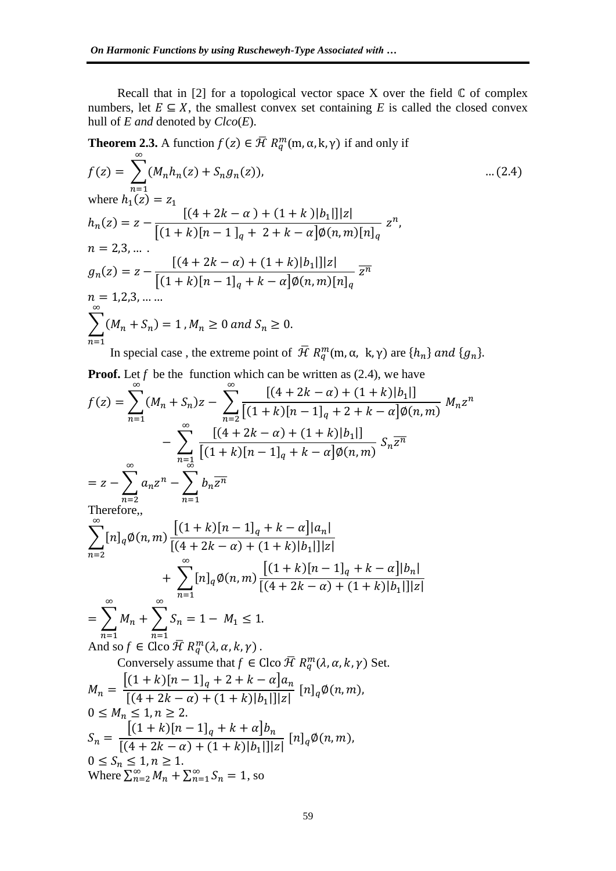Recall that in [2] for a topological vector space X over the field  $\mathbb C$  of complex numbers, let  $E \subseteq X$ , the smallest convex set containing *E* is called the closed convex hull of *E and* denoted by *Clco*(*E*).

**Theorem 2.3.** A function 
$$
f(z) \in \overline{\mathcal{H}} R_{q}^{m}(m, \alpha, k, \gamma)
$$
 if and only if  
\n
$$
f(z) = \sum_{n=1}^{\infty} (M_{n}h_{n}(z) + S_{n}g_{n}(z)), \qquad \dots (2.4)
$$
\nwhere  $h_{1}(z) = z_{1}$   
\n
$$
h_{n}(z) = z - \frac{[(4 + 2k - \alpha) + (1 + k)|b_{1}]||z|}{[(1 + k)[n - 1]_{q} + 2 + k - \alpha] \emptyset (n, m)[n]_{q}} z^{n},
$$
\n
$$
n = 2, 3, \dots
$$
\n
$$
g_{n}(z) = z - \frac{[(4 + 2k - \alpha) + (1 + k)|b_{1}]||z|}{[(1 + k)[n - 1]_{q} + k - \alpha] \emptyset (n, m)[n]_{q}} \overline{z^{n}}
$$
\n
$$
n = 1, 2, 3, \dots
$$
\n
$$
\sum_{n=1}^{\infty} (M_{n} + S_{n}) = 1, M_{n} \ge 0 \text{ and } S_{n} \ge 0.
$$
\nIn special case, the extreme point of  $\overline{\mathcal{H}} R_{q}^{m}(m, \alpha, k, \gamma)$  are  $\{h_{n}\}$  and  $\{g_{n}\}$ .

**Proof.** Let  $f$  be the function which can be written as  $(2.4)$ , we have

$$
f(z) = \sum_{n=1}^{\infty} (M_n + S_n)z - \sum_{n=2}^{\infty} \frac{[(4 + 2k - \alpha) + (1 + k)|b_1|]}{[(1 + k)[n - 1]_q + 2 + k - \alpha]\emptyset(n, m)} M_n z^n
$$
  
\n
$$
- \sum_{n=1}^{\infty} \frac{[(4 + 2k - \alpha) + (1 + k)|b_1|]}{[(1 + k)[n - 1]_q + k - \alpha]\emptyset(n, m)} S_n \overline{z^n}
$$
  
\n
$$
= z - \sum_{n=2}^{\infty} a_n z^n - \sum_{n=1}^{\infty} b_n \overline{z^n}
$$
  
\nTherefore,  
\n
$$
\sum_{n=2}^{\infty} [n]_q \emptyset(n, m) \frac{[(1 + k)[n - 1]_q + k - \alpha] |a_n|}{[(4 + 2k - \alpha) + (1 + k)|b_1|]_2|}
$$
  
\n
$$
+ \sum_{n=1}^{\infty} [n]_q \emptyset(n, m) \frac{[(1 + k)[n - 1]_q + k - \alpha]|b_n|}{[(4 + 2k - \alpha) + (1 + k)|b_1|]_2|}
$$
  
\n
$$
= \sum_{n=1}^{\infty} M_n + \sum_{n=1}^{\infty} S_n = 1 - M_1 \le 1.
$$
  
\nAnd so  $f \in \text{Cloc } \overline{H} R_q^m(\lambda, \alpha, k, \gamma)$ .  
\nConversely assume that  $f \in \text{Cloc } \overline{H} R_q^m(\lambda, \alpha, k, \gamma)$  Set.  
\n
$$
M_n = \frac{[(1 + k)[n - 1]_q + 2 + k - \alpha]a_n}{[(4 + 2k - \alpha) + (1 + k)|b_1|]_2|} [n]_q \emptyset(n, m),
$$
  
\n $0 \le M_n \le 1, n \ge 2$ .  
\n
$$
S_n = \frac{[(1 + k)[n - 1]_q + k + \alpha]b_n}{[(4 + 2k - \alpha) + (1 + k)|b_1|]_2|} [n]_q \emptyset(n, m),
$$
  
\n $0 \le S_n \le 1, n \ge 1$ .  
\nWhere  $\sum_{n=$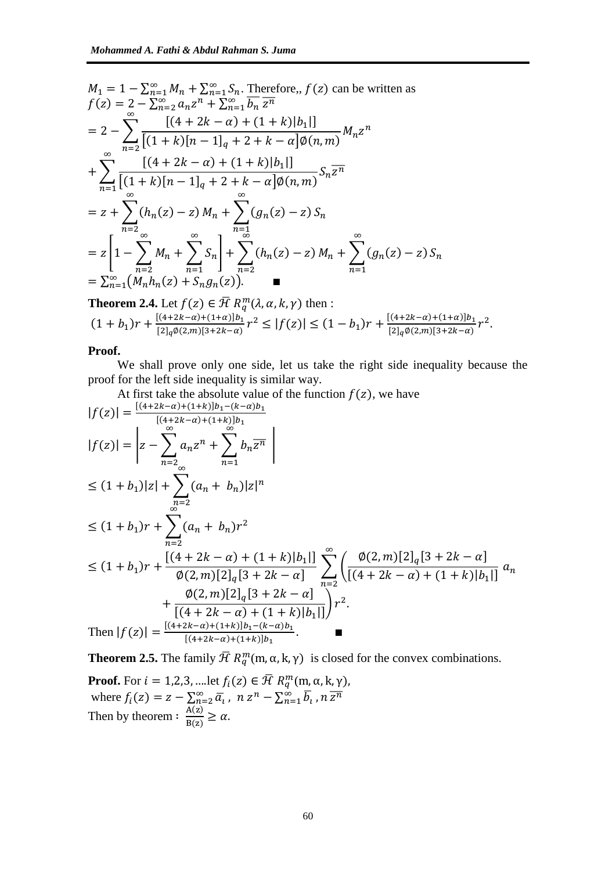$$
M_{1} = 1 - \sum_{n=1}^{\infty} M_{n} + \sum_{n=1}^{\infty} S_{n}.
$$
 Therefore,  $f(z)$  can be written as  
\n
$$
f(z) = 2 - \sum_{n=2}^{\infty} a_{n} z^{n} + \sum_{n=1}^{\infty} \overline{b_{n}} \overline{z^{n}}
$$
\n
$$
= 2 - \sum_{n=2}^{\infty} \frac{\left[ (4 + 2k - \alpha) + (1 + k)|b_{1}|\right]}{\left[ (1 + k)[n - 1]_{q} + 2 + k - \alpha\right] \emptyset(n, m)} M_{n} z^{n}
$$
\n
$$
+ \sum_{n=1}^{\infty} \frac{\left[ (4 + 2k - \alpha) + (1 + k)|b_{1}|\right]}{\left[ (1 + k)[n - 1]_{q} + 2 + k - \alpha\right] \emptyset(n, m)} S_{n} \overline{z^{n}}
$$
\n
$$
= z + \sum_{n=2}^{\infty} (h_{n}(z) - z) M_{n} + \sum_{n=1}^{\infty} (g_{n}(z) - z) S_{n}
$$
\n
$$
= z \left[ 1 - \sum_{n=2}^{\infty} M_{n} + \sum_{n=1}^{\infty} S_{n} \right] + \sum_{n=2}^{\infty} (h_{n}(z) - z) M_{n} + \sum_{n=1}^{\infty} (g_{n}(z) - z) S_{n}
$$
\n
$$
= \sum_{n=1}^{\infty} (M_{n} h_{n}(z) + S_{n} g_{n}(z)).
$$

**Theorem 2.4.** Let 
$$
f(z) \in \overline{\mathcal{H}} R_q^m(\lambda, \alpha, k, \gamma)
$$
 then :  
\n
$$
(1 + b_1)r + \frac{[(4+2k-\alpha)+(1+\alpha)]b_1}{[2]_q\emptyset(2,m)[3+2k-\alpha]}r^2 \le |f(z)| \le (1 - b_1)r + \frac{[(4+2k-\alpha)+(1+\alpha)]b_1}{[2]_q\emptyset(2,m)[3+2k-\alpha]}r^2.
$$

# **Proof.**

We shall prove only one side, let us take the right side inequality because the proof for the left side inequality is similar way.

At first take the absolute value of the function 
$$
f(z)
$$
, we have

$$
|f(z)| = \frac{[(4+2k-\alpha)+(1+k)]b_1 - (k-\alpha)b_1}{[(4+2k-\alpha)+(1+k)]b_1}
$$
  
\n
$$
|f(z)| = \left| z - \sum_{n=2}^{\infty} a_n z^n + \sum_{n=1}^{\infty} b_n \overline{z^n} \right|
$$
  
\n
$$
\leq (1+b_1)|z| + \sum_{n=2}^{\infty} (a_n + b_n)|z|^n
$$
  
\n
$$
\leq (1+b_1)r + \sum_{n=2}^{\infty} (a_n + b_n)r^2
$$
  
\n
$$
\leq (1+b_1)r + \frac{[(4+2k-\alpha)+(1+k)|b_1|]}{\emptyset(2,m)[2]_q[3+2k-\alpha]} \sum_{n=2}^{\infty} \left( \frac{\emptyset(2,m)[2]_q[3+2k-\alpha]}{[(4+2k-\alpha)+(1+k)|b_1|]} a_n + \frac{\emptyset(2,m)[2]_q[3+2k-\alpha]}{[(4+2k-\alpha)+(1+k)|b_1|]} \right)r^2.
$$
  
\nThen  $|f(z)| = \frac{[(4+2k-\alpha)+(1+k)]b_1 - (k-\alpha)b_1}{[(4+2k-\alpha)+(1+k)]b_1}.$ 

**Theorem 2.5.** The family  $\overline{\mathcal{H}}$   $R_q^m(m, \alpha, k, \gamma)$  is closed for the convex combinations.

**Proof.** For 
$$
i = 1, 2, 3, \dots
$$
 let  $f_i(z) \in \overline{\mathcal{H}} R_q^m(m, \alpha, k, \gamma)$ ,  
where  $f_i(z) = z - \sum_{n=2}^{\infty} \overline{a}_i$ ,  $n z^n - \sum_{n=1}^{\infty} \overline{b}_i$ ,  $n \overline{z^n}$   
Then by theorem :  $\frac{A(z)}{B(z)} \ge \alpha$ .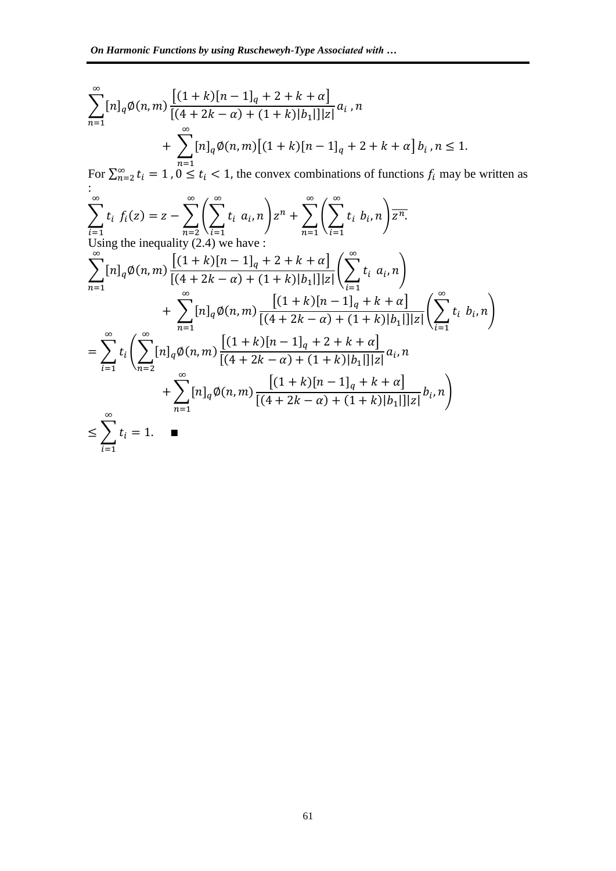$$
\sum_{n=1}^{\infty} [n]_q \emptyset(n,m) \frac{\left[ (1+k)[n-1]_q + 2 + k + \alpha \right]}{\left[ (4+2k-\alpha) + (1+k)[b_1] \right] |z|} a_i, n
$$
  
+ 
$$
\sum_{n=1}^{\infty} [n]_q \emptyset(n,m) \left[ (1+k)[n-1]_q + 2 + k + \alpha \right] b_i, n \le 1.
$$

For  $\sum_{n=2}^{\infty} t_i = 1$ ,  $0 \le t_i < 1$ , the convex combinations of functions  $f_i$  may be written as :  $\sum t$  $\infty$ i  $f_i(z) = z - \sum \mid \sum t$  $\infty$ i  $a_i, n \mid z^n + \sum \mid \sum t$  $\infty$ i  $b_i, n \mid \overline{z^n}$ .  $\infty$  $\boldsymbol{n}$  $\infty$  $\boldsymbol{n}$ Using the inequality  $(2.4)$  we h ∑  $[(1 + k)[n - 1]_q + 2 + k + \alpha]$  $\frac{1}{[(4+2k-\alpha)+(1+k)|b_1|]|z|}\left(\sum t\right)$  $\infty$ i  $a_i, n$  $\infty$  $\boldsymbol{n}$  ∑  $[(1 + k)[n - 1]_q + k + \alpha]$  $\frac{1}{[(4+2k-\alpha)+(1+k)|b_1|]|z|}\left(\sum t\right)$  $\infty$ i  $b_i, n$  $\infty$  $\boldsymbol{n}$  $=$   $\rightarrow$  t  $\infty$ i (∑  $[(1 + k)[n - 1]_q + 2 + k + \alpha]$  $\frac{1}{[(4+2k-\alpha)+(1+k)|b_1|]|z|}a_i,$  $\infty$  $\boldsymbol{n}$  ∑  $[(1 + k)[n - 1]_q + k + \alpha]$  $\frac{1}{[(4+2k-\alpha)+(1+k)|b_1|]|z|}b_i,$  $\infty$  $\boldsymbol{n}$  $\cdot$  $≤$  > t  $\infty$ i  $=$